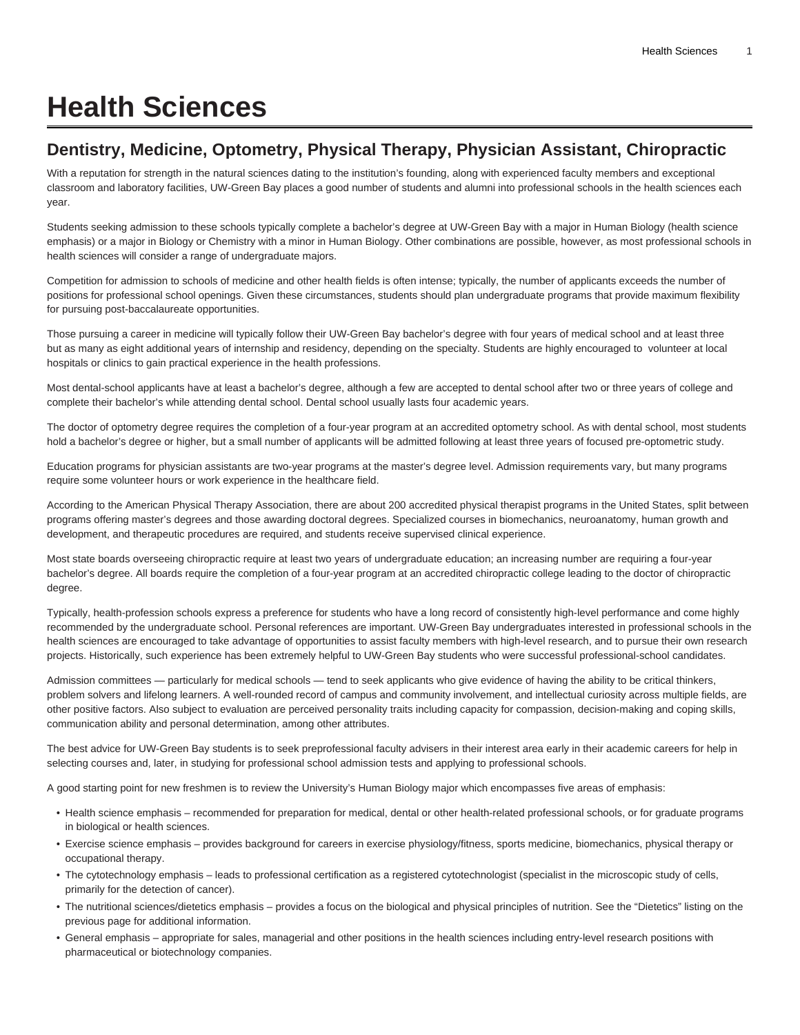## **Health Sciences**

## **Dentistry, Medicine, Optometry, Physical Therapy, Physician Assistant, Chiropractic**

With a reputation for strength in the natural sciences dating to the institution's founding, along with experienced faculty members and exceptional classroom and laboratory facilities, UW-Green Bay places a good number of students and alumni into professional schools in the health sciences each year.

Students seeking admission to these schools typically complete a bachelor's degree at UW-Green Bay with a major in Human Biology (health science emphasis) or a major in Biology or Chemistry with a minor in Human Biology. Other combinations are possible, however, as most professional schools in health sciences will consider a range of undergraduate majors.

Competition for admission to schools of medicine and other health fields is often intense; typically, the number of applicants exceeds the number of positions for professional school openings. Given these circumstances, students should plan undergraduate programs that provide maximum flexibility for pursuing post-baccalaureate opportunities.

Those pursuing a career in medicine will typically follow their UW-Green Bay bachelor's degree with four years of medical school and at least three but as many as eight additional years of internship and residency, depending on the specialty. Students are highly encouraged to volunteer at local hospitals or clinics to gain practical experience in the health professions.

Most dental-school applicants have at least a bachelor's degree, although a few are accepted to dental school after two or three years of college and complete their bachelor's while attending dental school. Dental school usually lasts four academic years.

The doctor of optometry degree requires the completion of a four-year program at an accredited optometry school. As with dental school, most students hold a bachelor's degree or higher, but a small number of applicants will be admitted following at least three years of focused pre-optometric study.

Education programs for physician assistants are two-year programs at the master's degree level. Admission requirements vary, but many programs require some volunteer hours or work experience in the healthcare field.

According to the American Physical Therapy Association, there are about 200 accredited physical therapist programs in the United States, split between programs offering master's degrees and those awarding doctoral degrees. Specialized courses in biomechanics, neuroanatomy, human growth and development, and therapeutic procedures are required, and students receive supervised clinical experience.

Most state boards overseeing chiropractic require at least two years of undergraduate education; an increasing number are requiring a four-year bachelor's degree. All boards require the completion of a four-year program at an accredited chiropractic college leading to the doctor of chiropractic degree.

Typically, health-profession schools express a preference for students who have a long record of consistently high-level performance and come highly recommended by the undergraduate school. Personal references are important. UW-Green Bay undergraduates interested in professional schools in the health sciences are encouraged to take advantage of opportunities to assist faculty members with high-level research, and to pursue their own research projects. Historically, such experience has been extremely helpful to UW-Green Bay students who were successful professional-school candidates.

Admission committees — particularly for medical schools — tend to seek applicants who give evidence of having the ability to be critical thinkers, problem solvers and lifelong learners. A well-rounded record of campus and community involvement, and intellectual curiosity across multiple fields, are other positive factors. Also subject to evaluation are perceived personality traits including capacity for compassion, decision-making and coping skills, communication ability and personal determination, among other attributes.

The best advice for UW-Green Bay students is to seek preprofessional faculty advisers in their interest area early in their academic careers for help in selecting courses and, later, in studying for professional school admission tests and applying to professional schools.

A good starting point for new freshmen is to review the University's Human Biology major which encompasses five areas of emphasis:

- Health science emphasis recommended for preparation for medical, dental or other health-related professional schools, or for graduate programs in biological or health sciences.
- Exercise science emphasis provides background for careers in exercise physiology/fitness, sports medicine, biomechanics, physical therapy or occupational therapy.
- The cytotechnology emphasis leads to professional certification as a registered cytotechnologist (specialist in the microscopic study of cells, primarily for the detection of cancer).
- The nutritional sciences/dietetics emphasis provides a focus on the biological and physical principles of nutrition. See the "Dietetics" listing on the previous page for additional information.
- General emphasis appropriate for sales, managerial and other positions in the health sciences including entry-level research positions with pharmaceutical or biotechnology companies.